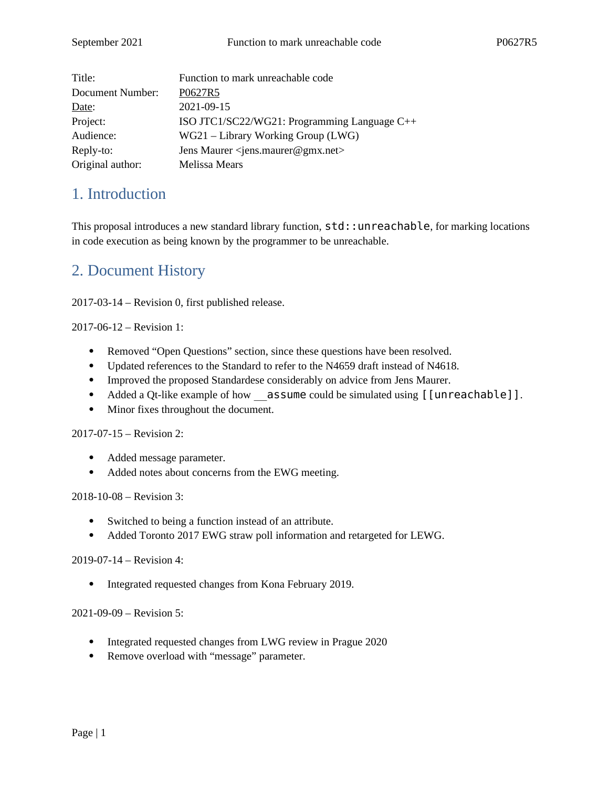| Title:           | Function to mark unreachable code                       |  |
|------------------|---------------------------------------------------------|--|
| Document Number: | P0627R5                                                 |  |
| Date:            | 2021-09-15                                              |  |
| Project:         | ISO JTC1/SC22/WG21: Programming Language C++            |  |
| Audience:        | WG21 - Library Working Group (LWG)                      |  |
| Reply-to:        | Jens Maurer <jens.maurer@gmx.net></jens.maurer@gmx.net> |  |
| Original author: | Melissa Mears                                           |  |

# 1. Introduction

This proposal introduces a new standard library function,  $std:$ : unreachable, for marking locations in code execution as being known by the programmer to be unreachable.

# 2. Document History

2017-03-14 – Revision 0, first published release.

2017-06-12 – Revision 1:

- Removed "Open Questions" section, since these questions have been resolved.
- Updated references to the Standard to refer to the N4659 draft instead of N4618.
- Improved the proposed Standardese considerably on advice from Jens Maurer.
- Added a Qt-like example of how assume could be simulated using [[unreachable]].
- Minor fixes throughout the document.

2017-07-15 – Revision 2:

- Added message parameter.
- Added notes about concerns from the EWG meeting.

2018-10-08 – Revision 3:

- Switched to being a function instead of an attribute.
- Added Toronto 2017 EWG straw poll information and retargeted for LEWG.

2019-07-14 – Revision 4:

• Integrated requested changes from Kona February 2019.

2021-09-09 – Revision 5:

- Integrated requested changes from LWG review in Prague 2020
- Remove overload with "message" parameter.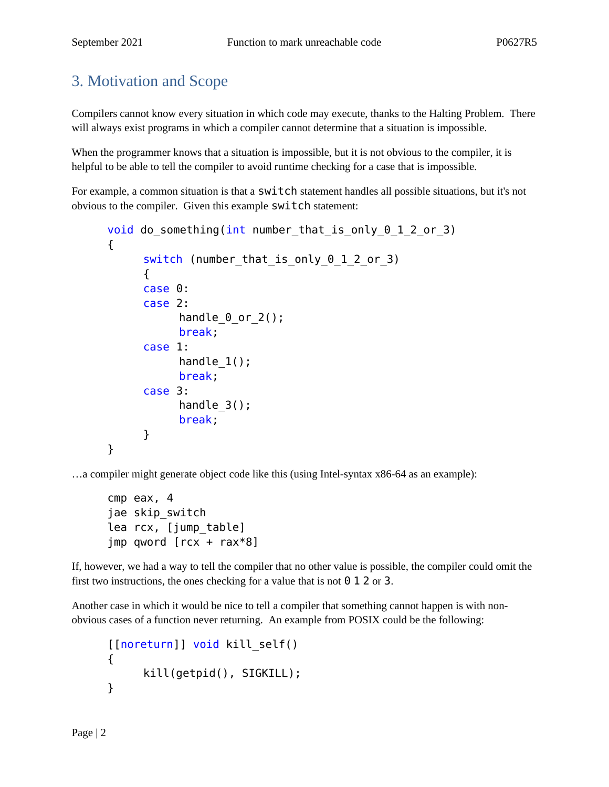# 3. Motivation and Scope

Compilers cannot know every situation in which code may execute, thanks to the Halting Problem. There will always exist programs in which a compiler cannot determine that a situation is impossible.

When the programmer knows that a situation is impossible, but it is not obvious to the compiler, it is helpful to be able to tell the compiler to avoid runtime checking for a case that is impossible.

For example, a common situation is that a  $\textsf{switch}$  statement handles all possible situations, but it's not obvious to the compiler. Given this example switch statement:

```
void do something(int number that is only 0\ 1\ 2\ or 3)
{
     switch (number that is only 0 1 2 or 3)
     {
     case 0:
     case 2:
           handle_0_or_2();
           break;
     case 1:
           handle 1();
           break;
     case 3:
           handle 3();
           break;
     }
}
```
…a compiler might generate object code like this (using Intel-syntax x86-64 as an example):

```
cmp eax, 4
jae skip_switch
lea rcx, [jump_table]
jmp qword [rcx + rax*8]
```
If, however, we had a way to tell the compiler that no other value is possible, the compiler could omit the first two instructions, the ones checking for a value that is not  $\theta$  1 2 or 3.

Another case in which it would be nice to tell a compiler that something cannot happen is with nonobvious cases of a function never returning. An example from POSIX could be the following:

```
[[noreturn]] void kill_self()
{
     kill(getpid(), SIGKILL);
}
```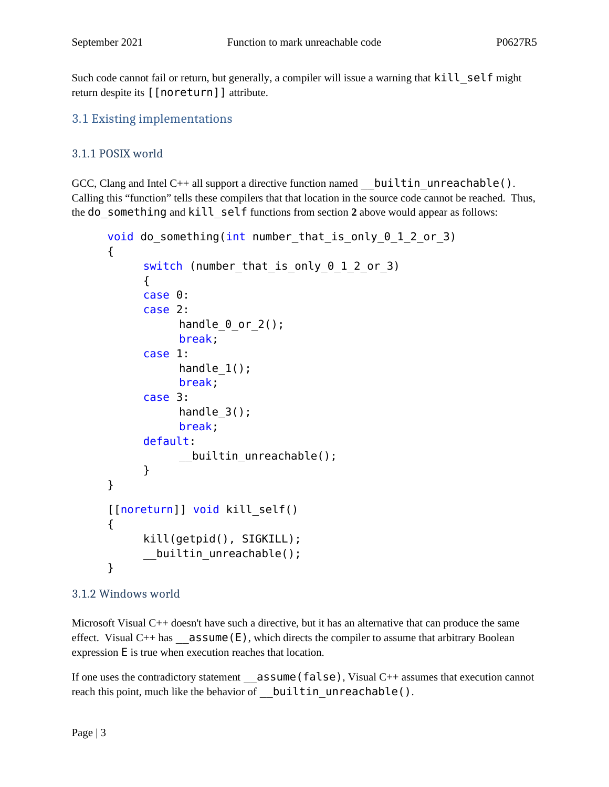Such code cannot fail or return, but generally, a compiler will issue a warning that kill self might return despite its [[noreturn]] attribute.

### 3.1 Existing implementations

### 3.1.1 POSIX world

GCC, Clang and Intel C++ all support a directive function named builtin unreachable(). Calling this "function" tells these compilers that that location in the source code cannot be reached. Thus, the do\_something and kill\_self functions from section **2** above would appear as follows:

```
void do something(int number that is only 0\ 1\ 2\ or 3)
{
     switch (number that is only 0 1 2 or 3)
     {
     case 0:
     case 2:
           handle \theta or 2();
           break;
     case 1:
           handle 1();
           break;
     case 3:
           handle_3();
           break;
     default:
           __builtin_unreachable();
     }
}
[[noreturn]] void kill_self()
{
     kill(getpid(), SIGKILL);
     __builtin_unreachable();
}
```
### 3.1.2 Windows world

Microsoft Visual C++ doesn't have such a directive, but it has an alternative that can produce the same effect. Visual  $C++$  has  $\_\_$ **assume (E)**, which directs the compiler to assume that arbitrary Boolean expression E is true when execution reaches that location.

If one uses the contradictory statement \_\_assume(false), Visual C++ assumes that execution cannot reach this point, much like the behavior of builtin unreachable().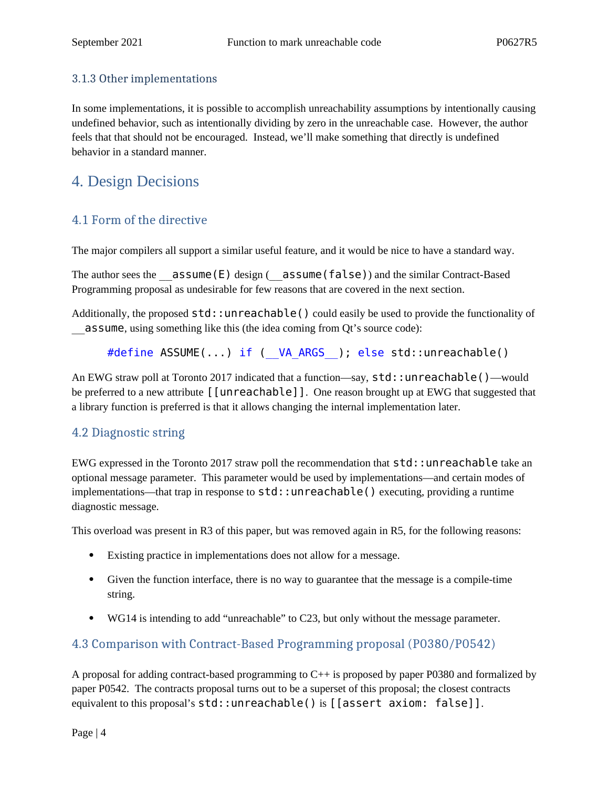#### 3.1.3 Other implementations

In some implementations, it is possible to accomplish unreachability assumptions by intentionally causing undefined behavior, such as intentionally dividing by zero in the unreachable case. However, the author feels that that should not be encouraged. Instead, we'll make something that directly is undefined behavior in a standard manner.

# 4. Design Decisions

### 4.1 Form of the directive

The major compilers all support a similar useful feature, and it would be nice to have a standard way.

The author sees the  $\overline{\mathsf{assume}}(E)$  design ( $\overline{\mathsf{assume}}(false)$ ) and the similar Contract-Based Programming proposal as undesirable for few reasons that are covered in the next section.

Additionally, the proposed std::unreachable() could easily be used to provide the functionality of \_\_assume, using something like this (the idea coming from Qt's source code):

#define ASSUME(...) if ( VA ARGS ); else std::unreachable()

An EWG straw poll at Toronto 2017 indicated that a function—say, std::unreachable()—would be preferred to a new attribute [[unreachable]]. One reason brought up at EWG that suggested that a library function is preferred is that it allows changing the internal implementation later.

### 4.2 Diagnostic string

EWG expressed in the Toronto 2017 straw poll the recommendation that std::unreachable take an optional message parameter. This parameter would be used by implementations—and certain modes of implementations—that trap in response to  $std:$ : un reachable() executing, providing a runtime diagnostic message.

This overload was present in R3 of this paper, but was removed again in R5, for the following reasons:

- Existing practice in implementations does not allow for a message.
- Given the function interface, there is no way to guarantee that the message is a compile-time string.
- WG14 is intending to add "unreachable" to C23, but only without the message parameter.

### 4.3 Comparison with Contract-Based Programming proposal (P0380/P0542)

A proposal for adding contract-based programming to C++ is proposed by paper P0380 and formalized by paper P0542. The contracts proposal turns out to be a superset of this proposal; the closest contracts equivalent to this proposal's std::unreachable() is [[assert axiom: false]].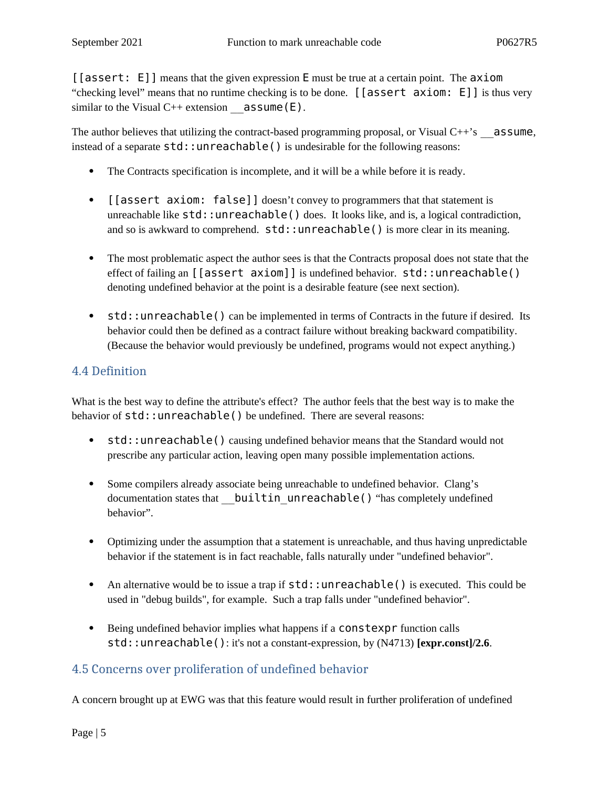[[assert: E]] means that the given expression E must be true at a certain point. The axiom "checking level" means that no runtime checking is to be done. [[assert axiom: E]] is thus very similar to the Visual  $C^{++}$  extension  $\qquad$  assume (E).

The author believes that utilizing the contract-based programming proposal, or Visual  $C++\text{'s}$  assume, instead of a separate  $std:$ : unreachable() is undesirable for the following reasons:

- The Contracts specification is incomplete, and it will be a while before it is ready.
- [[assert axiom: false]] doesn't convey to programmers that that statement is unreachable like  $std:$ : unreachable() does. It looks like, and is, a logical contradiction, and so is awkward to comprehend.  $std:$ : unreachable() is more clear in its meaning.
- The most problematic aspect the author sees is that the Contracts proposal does not state that the effect of failing an [[assert axiom]] is undefined behavior. std::unreachable() denoting undefined behavior at the point is a desirable feature (see next section).
- std::unreachable() can be implemented in terms of Contracts in the future if desired. Its behavior could then be defined as a contract failure without breaking backward compatibility. (Because the behavior would previously be undefined, programs would not expect anything.)

### 4.4 Definition

What is the best way to define the attribute's effect? The author feels that the best way is to make the behavior of  $std:$ : unreachable() be undefined. There are several reasons:

- std::unreachable() causing undefined behavior means that the Standard would not prescribe any particular action, leaving open many possible implementation actions.
- Some compilers already associate being unreachable to undefined behavior. Clang's documentation states that **\_\_builtin\_unreachable()** "has completely undefined behavior".
- Optimizing under the assumption that a statement is unreachable, and thus having unpredictable behavior if the statement is in fact reachable, falls naturally under "undefined behavior".
- An alternative would be to issue a trap if  $std:$ : unreachable() is executed. This could be used in "debug builds", for example. Such a trap falls under "undefined behavior".
- Being undefined behavior implies what happens if a **constexpr** function calls std::unreachable(): it's not a constant-expression, by (N4713) **[expr.const]/2.6**.

## 4.5 Concerns over proliferation of undefined behavior

A concern brought up at EWG was that this feature would result in further proliferation of undefined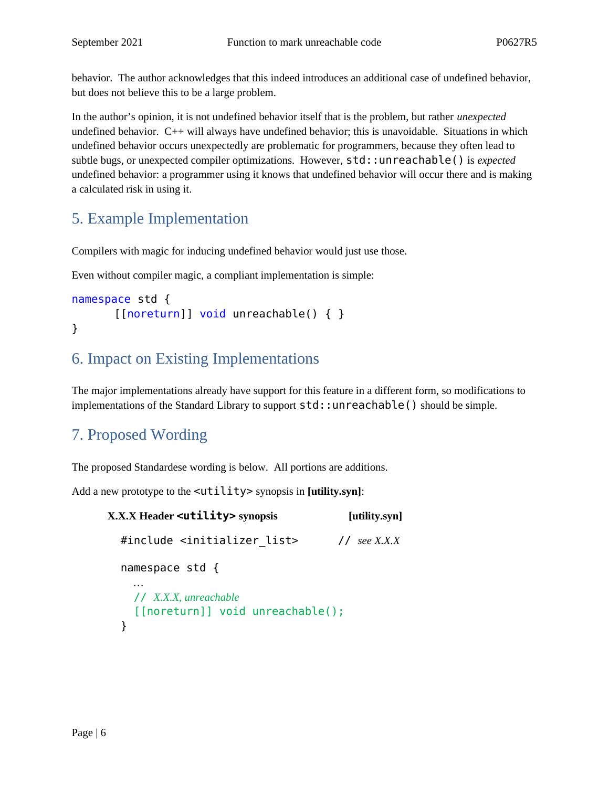behavior. The author acknowledges that this indeed introduces an additional case of undefined behavior, but does not believe this to be a large problem.

In the author's opinion, it is not undefined behavior itself that is the problem, but rather *unexpected* undefined behavior. C++ will always have undefined behavior; this is unavoidable. Situations in which undefined behavior occurs unexpectedly are problematic for programmers, because they often lead to subtle bugs, or unexpected compiler optimizations. However, std::unreachable() is *expected* undefined behavior: a programmer using it knows that undefined behavior will occur there and is making a calculated risk in using it.

# 5. Example Implementation

Compilers with magic for inducing undefined behavior would just use those.

Even without compiler magic, a compliant implementation is simple:

```
namespace std {
        [[noreturn]] void unreachable() { }
}
```
# 6. Impact on Existing Implementations

The major implementations already have support for this feature in a different form, so modifications to implementations of the Standard Library to support  $std:$ : unreachable() should be simple.

# 7. Proposed Wording

The proposed Standardese wording is below. All portions are additions.

Add a new prototype to the <utility> synopsis in **[utility.syn]**:

```
X.X.X Header <utility> synopsis [utility.syn]
   #include <initializer_list> // see X.X.X
   namespace std {
     …
     // X.X.X, unreachable
     [[noreturn]] void unreachable();
   }
```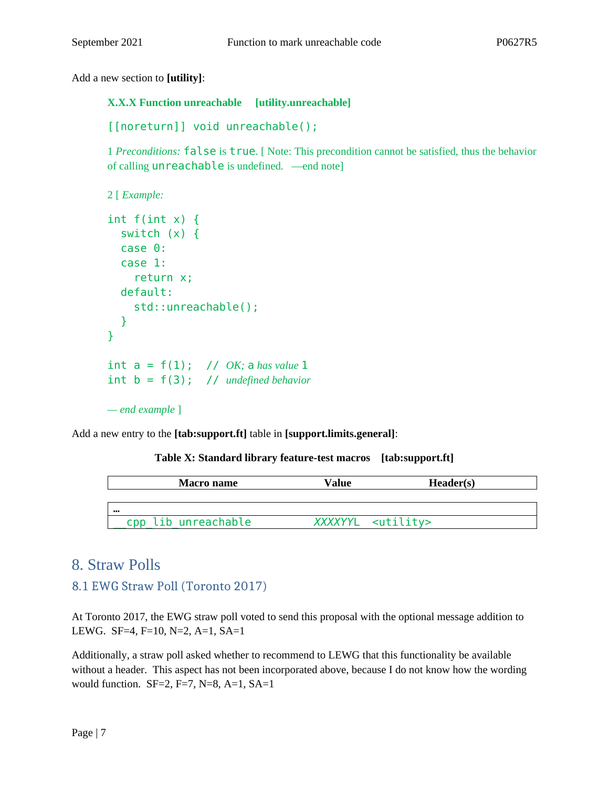Add a new section to **[utility]**:

#### **X.X.X Function unreachable [utility.unreachable]**

```
[[noreturn]] void unreachable();
```
1 *Preconditions:* false is true. [ Note: This precondition cannot be satisfied, thus the behavior of calling unreachable is undefined. —end note]

```
2 [ Example:
```

```
int f(int x) {
   switch (x) {
   case 0:
   case 1:
     return x;
   default:
     std::unreachable();
   }
} 
int a = f(1); // OK; a has value 1
int b = f(3); // undefined behavior
— end example ]
```
Add a new entry to the **[tab:support.ft]** table in **[support.limits.general]**:

#### **Table X: Standard library feature-test macros [tab:support.ft]**

| Macro name          | Value                       | Header(s) |
|---------------------|-----------------------------|-----------|
|                     |                             |           |
|                     |                             |           |
| cpp lib unreachable | XXXXYYL <utility></utility> |           |

## 8. Straw Polls

### 8.1 EWG Straw Poll (Toronto 2017)

At Toronto 2017, the EWG straw poll voted to send this proposal with the optional message addition to LEWG. SF=4, F=10, N=2, A=1, SA=1

Additionally, a straw poll asked whether to recommend to LEWG that this functionality be available without a header. This aspect has not been incorporated above, because I do not know how the wording would function. SF=2, F=7, N=8, A=1, SA=1